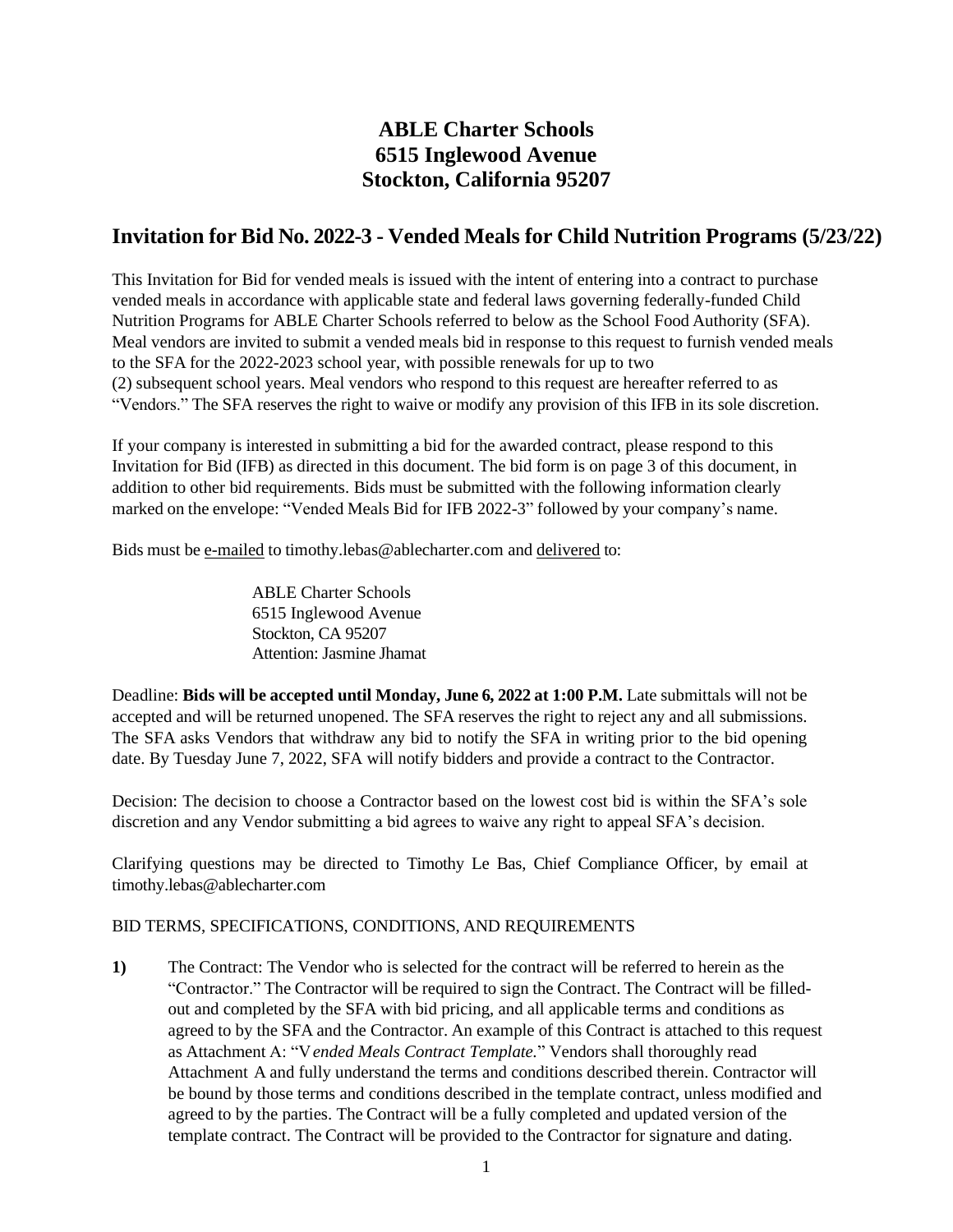# **ABLE Charter Schools 6515 Inglewood Avenue Stockton, California 95207**

# **Invitation for Bid No. 2022-3 - Vended Meals for Child Nutrition Programs (5/23/22)**

This Invitation for Bid for vended meals is issued with the intent of entering into a contract to purchase vended meals in accordance with applicable state and federal laws governing federally-funded Child Nutrition Programs for ABLE Charter Schools referred to below as the School Food Authority (SFA). Meal vendors are invited to submit a vended meals bid in response to this request to furnish vended meals to the SFA for the 2022-2023 school year, with possible renewals for up to two (2) subsequent school years. Meal vendors who respond to this request are hereafter referred to as "Vendors." The SFA reserves the right to waive or modify any provision of this IFB in its sole discretion.

If your company is interested in submitting a bid for the awarded contract, please respond to this Invitation for Bid (IFB) as directed in this document. The bid form is on page 3 of this document, in addition to other bid requirements. Bids must be submitted with the following information clearly marked on the envelope: "Vended Meals Bid for IFB 2022-3" followed by your company's name.

Bids must be e-mailed to [timothy.lebas@ablecharter.com](mailto:timothy.lebas@ablecharter.com) and delivered to:

ABLE Charter Schools 6515 Inglewood Avenue Stockton, CA 95207 Attention: Jasmine Jhamat

Deadline: **Bids will be accepted until Monday, June 6, 2022 at 1:00 P.M.** Late submittals will not be accepted and will be returned unopened. The SFA reserves the right to reject any and all submissions. The SFA asks Vendors that withdraw any bid to notify the SFA in writing prior to the bid opening date. By Tuesday June 7, 2022, SFA will notify bidders and provide a contract to the Contractor.

Decision: The decision to choose a Contractor based on the lowest cost bid is within the SFA's sole discretion and any Vendor submitting a bid agrees to waive any right to appeal SFA's decision.

Clarifying questions may be directed to Timothy Le Bas, Chief Compliance Officer, by email at timothy.lebas@ablecharter.com

## BID TERMS, SPECIFICATIONS, CONDITIONS, AND REQUIREMENTS

**1)** The Contract: The Vendor who is selected for the contract will be referred to herein as the "Contractor." The Contractor will be required to sign the Contract. The Contract will be filledout and completed by the SFA with bid pricing, and all applicable terms and conditions as agreed to by the SFA and the Contractor. An example of this Contract is attached to this request as Attachment A: "V*ended Meals Contract Template.*" Vendors shall thoroughly read Attachment A and fully understand the terms and conditions described therein. Contractor will be bound by those terms and conditions described in the template contract, unless modified and agreed to by the parties. The Contract will be a fully completed and updated version of the template contract. The Contract will be provided to the Contractor for signature and dating.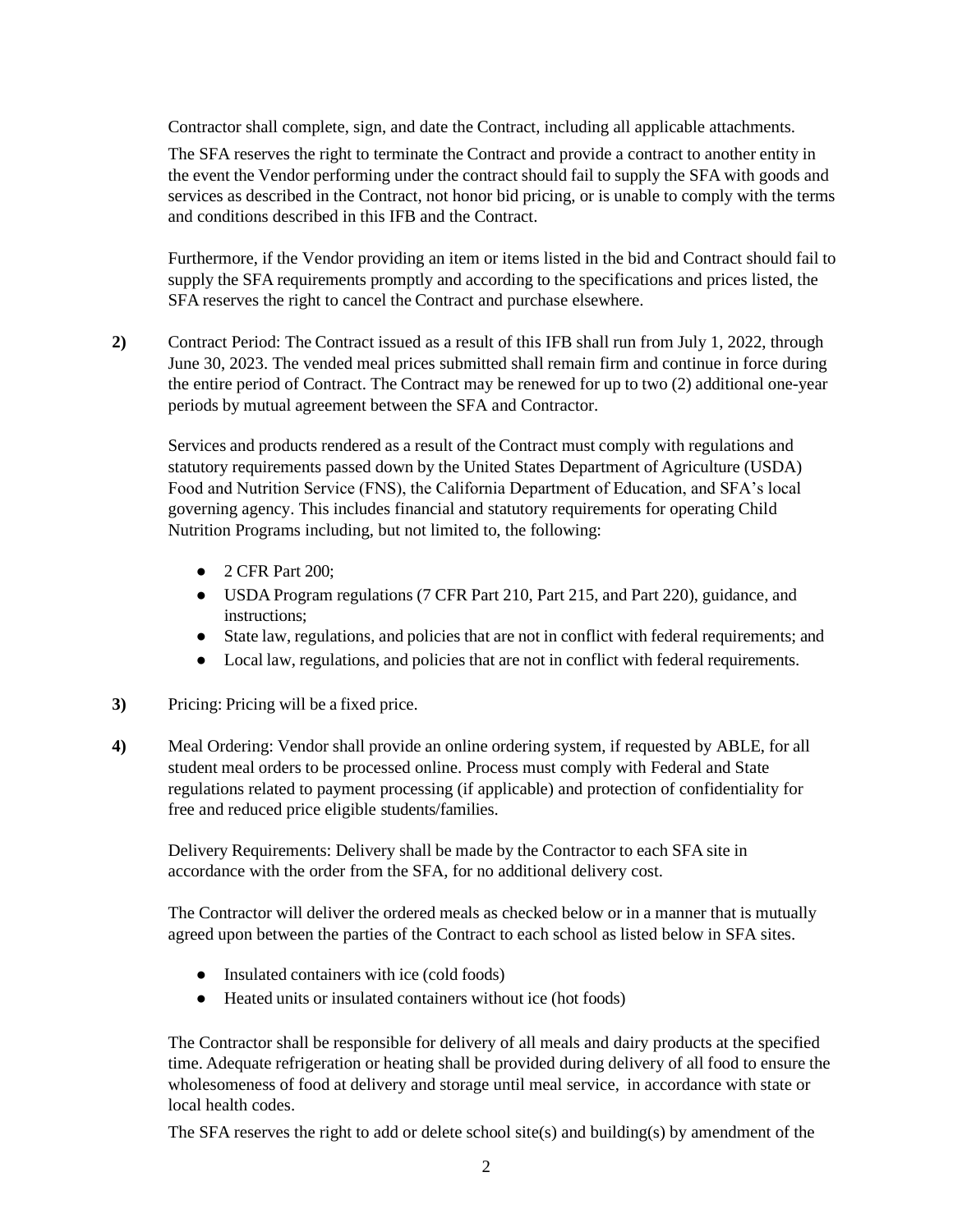Contractor shall complete, sign, and date the Contract, including all applicable attachments.

The SFA reserves the right to terminate the Contract and provide a contract to another entity in the event the Vendor performing under the contract should fail to supply the SFA with goods and services as described in the Contract, not honor bid pricing, or is unable to comply with the terms and conditions described in this IFB and the Contract.

Furthermore, if the Vendor providing an item or items listed in the bid and Contract should fail to supply the SFA requirements promptly and according to the specifications and prices listed, the SFA reserves the right to cancel the Contract and purchase elsewhere.

**2)** Contract Period: The Contract issued as a result of this IFB shall run from July 1, 2022, through June 30, 2023. The vended meal prices submitted shall remain firm and continue in force during the entire period of Contract. The Contract may be renewed for up to two (2) additional one-year periods by mutual agreement between the SFA and Contractor.

Services and products rendered as a result of the Contract must comply with regulations and statutory requirements passed down by the United States Department of Agriculture (USDA) Food and Nutrition Service (FNS), the California Department of Education, and SFA's local governing agency. This includes financial and statutory requirements for operating Child Nutrition Programs including, but not limited to, the following:

- 2 CFR Part 200;
- USDA Program regulations (7 CFR Part 210, Part 215, and Part 220), guidance, and instructions;
- State law, regulations, and policies that are not in conflict with federal requirements; and
- Local law, regulations, and policies that are not in conflict with federal requirements.
- **3)** Pricing: Pricing will be a fixed price.
- **4)** Meal Ordering: Vendor shall provide an online ordering system, if requested by ABLE, for all student meal orders to be processed online. Process must comply with Federal and State regulations related to payment processing (if applicable) and protection of confidentiality for free and reduced price eligible students/families.

**5)** Delivery Requirements: Delivery shall be made by the Contractor to each SFA site in accordance with the order from the SFA, for no additional delivery cost.

The Contractor will deliver the ordered meals as checked below or in a manner that is mutually agreed upon between the parties of the Contract to each school as listed below in SFA sites.

- Insulated containers with ice (cold foods)
- Heated units or insulated containers without ice (hot foods)

The Contractor shall be responsible for delivery of all meals and dairy products at the specified time. Adequate refrigeration or heating shall be provided during delivery of all food to ensure the wholesomeness of food at delivery and storage until meal service, in accordance with state or local health codes.

The SFA reserves the right to add or delete school site(s) and building(s) by amendment of the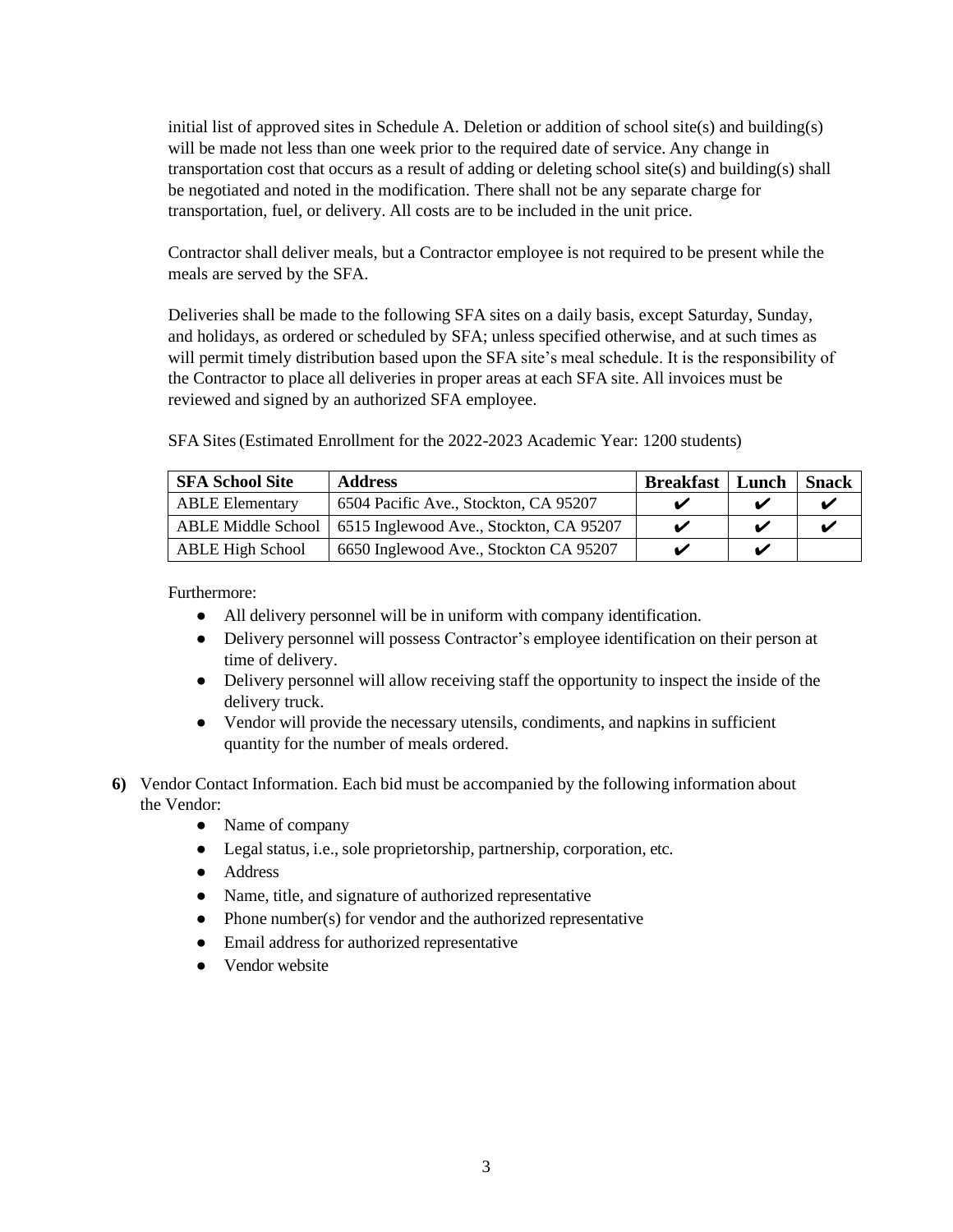initial list of approved sites in Schedule A. Deletion or addition of school site(s) and building(s) will be made not less than one week prior to the required date of service. Any change in transportation cost that occurs as a result of adding or deleting school site(s) and building(s) shall be negotiated and noted in the modification. There shall not be any separate charge for transportation, fuel, or delivery. All costs are to be included in the unit price.

Contractor shall deliver meals, but a Contractor employee is not required to be present while the meals are served by the SFA.

Deliveries shall be made to the following SFA sites on a daily basis, except Saturday, Sunday, and holidays, as ordered or scheduled by SFA; unless specified otherwise, and at such times as will permit timely distribution based upon the SFA site's meal schedule. It is the responsibility of the Contractor to place all deliveries in proper areas at each SFA site. All invoices must be reviewed and signed by an authorized SFA employee.

| <b>SFA School Site</b>  | <b>Address</b>                                               | <b>Breakfast</b>   Lunch |   | <b>Snack</b> |
|-------------------------|--------------------------------------------------------------|--------------------------|---|--------------|
| <b>ABLE Elementary</b>  | 6504 Pacific Ave., Stockton, CA 95207                        |                          |   |              |
|                         | ABLE Middle School   6515 Inglewood Ave., Stockton, CA 95207 |                          | ✔ |              |
| <b>ABLE High School</b> | 6650 Inglewood Ave., Stockton CA 95207                       |                          | v |              |

Furthermore:

- All delivery personnel will be in uniform with company identification.
- Delivery personnel will possess Contractor's employee identification on their person at time of delivery.
- Delivery personnel will allow receiving staff the opportunity to inspect the inside of the delivery truck.
- Vendor will provide the necessary utensils, condiments, and napkins in sufficient quantity for the number of meals ordered.
- **6)** Vendor Contact Information. Each bid must be accompanied by the following information about the Vendor:
	- Name of company
	- Legal status, i.e., sole proprietorship, partnership, corporation, etc.
	- Address
	- Name, title, and signature of authorized representative
	- Phone number(s) for vendor and the authorized representative
	- Email address for authorized representative
	- Vendor website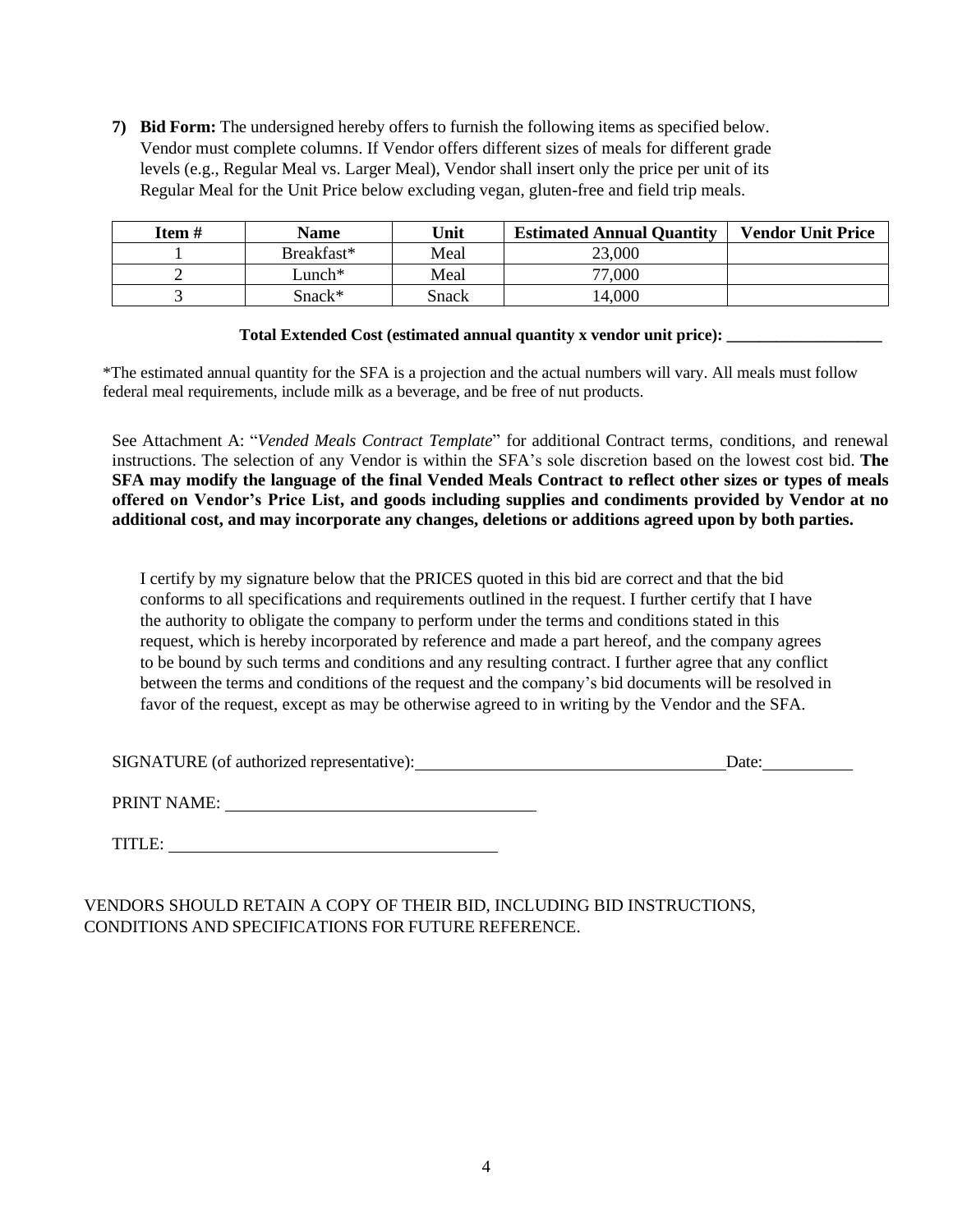**7) Bid Form:** The undersigned hereby offers to furnish the following items as specified below. Vendor must complete columns. If Vendor offers different sizes of meals for different grade levels (e.g., Regular Meal vs. Larger Meal), Vendor shall insert only the price per unit of its Regular Meal for the Unit Price below excluding vegan, gluten-free and field trip meals.

| Item# | Name       | Unit  | <b>Estimated Annual Quantity</b> | <b>Vendor Unit Price</b> |
|-------|------------|-------|----------------------------------|--------------------------|
|       | Breakfast* | Meal  | 23,000                           |                          |
|       | Lunch*     | Meal  | 77,000                           |                          |
|       | $Snack$ *  | Snack | 4,000                            |                          |

#### **Total Extended Cost (estimated annual quantity x vendor unit price): \_\_\_\_\_\_\_\_\_\_\_\_\_\_\_\_\_\_\_**

\*The estimated annual quantity for the SFA is a projection and the actual numbers will vary. All meals must follow federal meal requirements, include milk as a beverage, and be free of nut products.

See Attachment A: "*Vended Meals Contract Template*" for additional Contract terms, conditions, and renewal instructions. The selection of any Vendor is within the SFA's sole discretion based on the lowest cost bid. **The SFA may modify the language of the final Vended Meals Contract to reflect other sizes or types of meals offered on Vendor's Price List, and goods including supplies and condiments provided by Vendor at no additional cost, and may incorporate any changes, deletions or additions agreed upon by both parties.** 

I certify by my signature below that the PRICES quoted in this bid are correct and that the bid conforms to all specifications and requirements outlined in the request. I further certify that I have the authority to obligate the company to perform under the terms and conditions stated in this request, which is hereby incorporated by reference and made a part hereof, and the company agrees to be bound by such terms and conditions and any resulting contract. I further agree that any conflict between the terms and conditions of the request and the company's bid documents will be resolved in favor of the request, except as may be otherwise agreed to in writing by the Vendor and the SFA.

SIGNATURE (of authorized representative): Date: Date:

PRINT NAME:

TITLE: University of the second state of the second state of the second state of the second state of the second state of the second state of the second state of the second state of the second state of the second state of t

VENDORS SHOULD RETAIN A COPY OF THEIR BID, INCLUDING BID INSTRUCTIONS, CONDITIONS AND SPECIFICATIONS FOR FUTURE REFERENCE.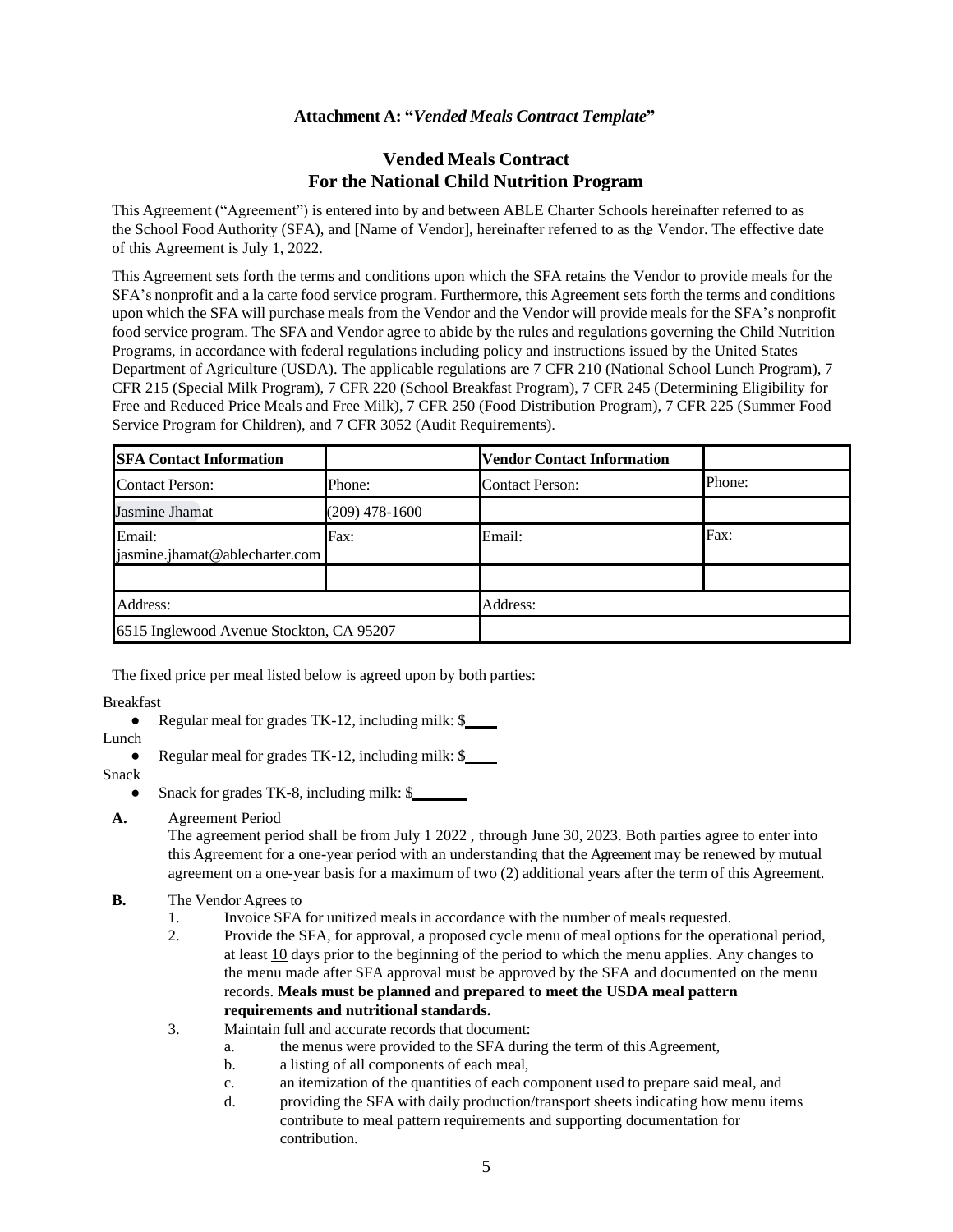### **Attachment A: "***Vended Meals Contract Template***"**

## **Vended Meals Contract For the National Child Nutrition Program**

This Agreement ("Agreement") is entered into by and between ABLE Charter Schools hereinafter referred to as the School Food Authority (SFA), and [Name of Vendor], hereinafter referred to as the Vendor. The effective date of this Agreement is July 1, 2022.

This Agreement sets forth the terms and conditions upon which the SFA retains the Vendor to provide meals for the SFA's nonprofit and a la carte food service program. Furthermore, this Agreement sets forth the terms and conditions upon which the SFA will purchase meals from the Vendor and the Vendor will provide meals for the SFA's nonprofit food service program. The SFA and Vendor agree to abide by the rules and regulations governing the Child Nutrition Programs, in accordance with federal regulations including policy and instructions issued by the United States Department of Agriculture (USDA). The applicable regulations are 7 CFR 210 (National School Lunch Program), 7 CFR 215 (Special Milk Program), 7 CFR 220 (School Breakfast Program), 7 CFR 245 (Determining Eligibility for Free and Reduced Price Meals and Free Milk), 7 CFR 250 (Food Distribution Program), 7 CFR 225 (Summer Food Service Program for Children), and 7 CFR 3052 (Audit Requirements).

| <b>SFA Contact Information</b>           |                  | <b>Vendor Contact Information</b> |        |
|------------------------------------------|------------------|-----------------------------------|--------|
| <b>Contact Person:</b>                   | Phone:           | <b>Contact Person:</b>            | Phone: |
| Jasmine Jhamat                           | $(209)$ 478-1600 |                                   |        |
| Email:<br>jasmine.jhamat@ablecharter.com | Fax:             | Email:                            | Fax:   |
|                                          |                  |                                   |        |
| Address:                                 |                  | Address:                          |        |
| 6515 Inglewood Avenue Stockton, CA 95207 |                  |                                   |        |

The fixed price per meal listed below is agreed upon by both parties:

#### Breakfast

- Regular meal for grades TK-12, including milk: \$
- Lunch
	- Regular meal for grades TK-12, including milk: \$

#### Snack

- Snack for grades TK-8, including milk: \$
- **A.** Agreement Period

The agreement period shall be from July 1 2022 , through June 30, 2023. Both parties agree to enter into this Agreement for a one-year period with an understanding that the Agreement may be renewed by mutual agreement on a one-year basis for a maximum of two (2) additional years after the term of this Agreement.

#### **B.** The Vendor Agrees to

- 1. Invoice SFA for unitized meals in accordance with the number of meals requested.
- 2. Provide the SFA, for approval, a proposed cycle menu of meal options for the operational period, at least 10 days prior to the beginning of the period to which the menu applies. Any changes to the menu made after SFA approval must be approved by the SFA and documented on the menu records. **Meals must be planned and prepared to meet the USDA meal pattern requirements and nutritional standards.**
- 3. Maintain full and accurate records that document:
	- a. the menus were provided to the SFA during the term of this Agreement,
	- b. a listing of all components of each meal,
	- c. an itemization of the quantities of each component used to prepare said meal, and
	- d. providing the SFA with daily production/transport sheets indicating how menu items contribute to meal pattern requirements and supporting documentation for contribution.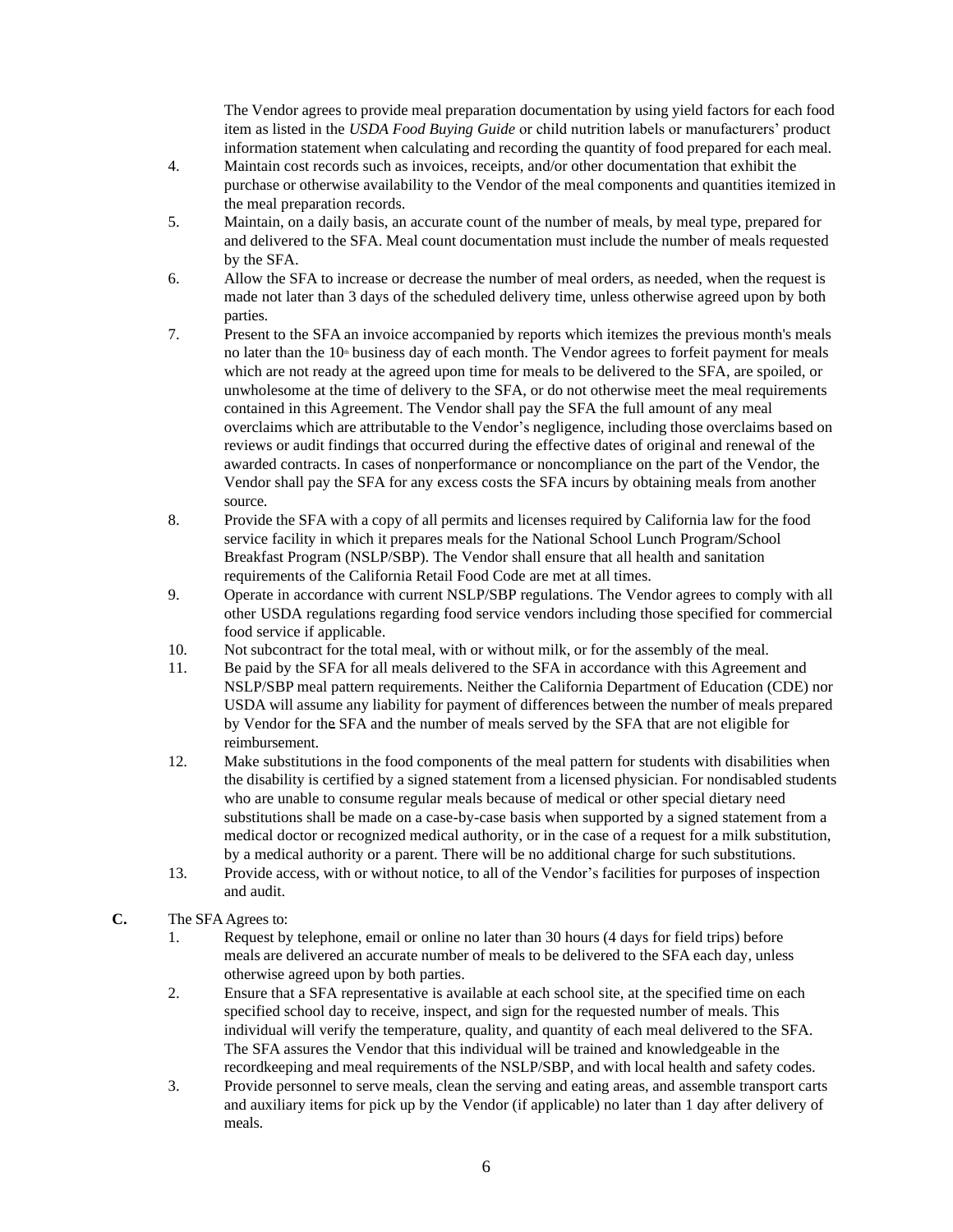The Vendor agrees to provide meal preparation documentation by using yield factors for each food item as listed in the *USDA Food Buying Guide* or child nutrition labels or manufacturers' product information statement when calculating and recording the quantity of food prepared for each meal.

- 4. Maintain cost records such as invoices, receipts, and/or other documentation that exhibit the purchase or otherwise availability to the Vendor of the meal components and quantities itemized in the meal preparation records.
- 5. Maintain, on a daily basis, an accurate count of the number of meals, by meal type, prepared for and delivered to the SFA. Meal count documentation must include the number of meals requested by the SFA.
- 6. Allow the SFA to increase or decrease the number of meal orders, as needed, when the request is made not later than 3 days of the scheduled delivery time, unless otherwise agreed upon by both parties.
- 7. Present to the SFA an invoice accompanied by reports which itemizes the previous month's meals no later than the  $10<sup>th</sup>$  business day of each month. The Vendor agrees to forfeit payment for meals which are not ready at the agreed upon time for meals to be delivered to the SFA, are spoiled, or unwholesome at the time of delivery to the SFA, or do not otherwise meet the meal requirements contained in this Agreement. The Vendor shall pay the SFA the full amount of any meal overclaims which are attributable to the Vendor's negligence, including those overclaims based on reviews or audit findings that occurred during the effective dates of original and renewal of the awarded contracts. In cases of nonperformance or noncompliance on the part of the Vendor, the Vendor shall pay the SFA for any excess costs the SFA incurs by obtaining meals from another source.
- 8. Provide the SFA with a copy of all permits and licenses required by California law for the food service facility in which it prepares meals for the National School Lunch Program/School Breakfast Program (NSLP/SBP). The Vendor shall ensure that all health and sanitation requirements of the California Retail Food Code are met at all times.
- 9. Operate in accordance with current NSLP/SBP regulations. The Vendor agrees to comply with all other USDA regulations regarding food service vendors including those specified for commercial food service if applicable.
- 10. Not subcontract for the total meal, with or without milk, or for the assembly of the meal.
- 11. Be paid by the SFA for all meals delivered to the SFA in accordance with this Agreement and NSLP/SBP meal pattern requirements. Neither the California Department of Education (CDE) nor USDA will assume any liability for payment of differences between the number of meals prepared by Vendor for the SFA and the number of meals served by the SFA that are not eligible for reimbursement.
- 12. Make substitutions in the food components of the meal pattern for students with disabilities when the disability is certified by a signed statement from a licensed physician. For nondisabled students who are unable to consume regular meals because of medical or other special dietary need substitutions shall be made on a case-by-case basis when supported by a signed statement from a medical doctor or recognized medical authority, or in the case of a request for a milk substitution, by a medical authority or a parent. There will be no additional charge for such substitutions.
- 13. Provide access, with or without notice, to all of the Vendor's facilities for purposes of inspection and audit.
- **C.** The SFAAgrees to:
	- 1. Request by telephone, email or online no later than 30 hours (4 days for field trips) before meals are delivered an accurate number of meals to be delivered to the SFA each day, unless otherwise agreed upon by both parties.
	- 2. Ensure that a SFA representative is available at each school site, at the specified time on each specified school day to receive, inspect, and sign for the requested number of meals. This individual will verify the temperature, quality, and quantity of each meal delivered to the SFA. The SFA assures the Vendor that this individual will be trained and knowledgeable in the recordkeeping and meal requirements of the NSLP/SBP, and with local health and safety codes.
	- 3. Provide personnel to serve meals, clean the serving and eating areas, and assemble transport carts and auxiliary items for pick up by the Vendor (if applicable) no later than 1 day after delivery of meals.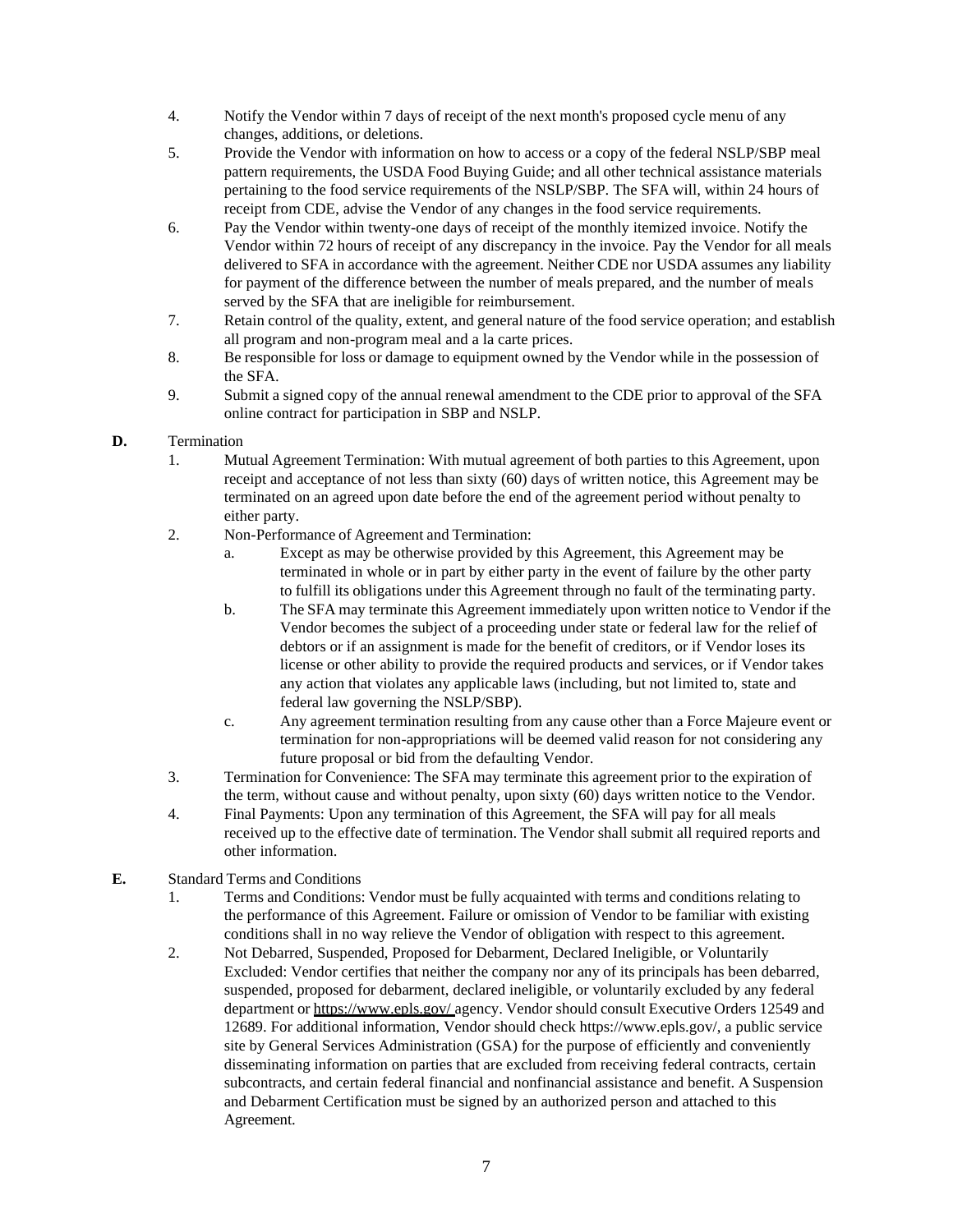- 4. Notify the Vendor within 7 days of receipt of the next month's proposed cycle menu of any changes, additions, or deletions.
- 5. Provide the Vendor with information on how to access or a copy of the federal NSLP/SBP meal pattern requirements, the USDA Food Buying Guide; and all other technical assistance materials pertaining to the food service requirements of the NSLP/SBP. The SFA will, within 24 hours of receipt from CDE, advise the Vendor of any changes in the food service requirements.
- 6. Pay the Vendor within twenty-one days of receipt of the monthly itemized invoice. Notify the Vendor within 72 hours of receipt of any discrepancy in the invoice. Pay the Vendor for all meals delivered to SFA in accordance with the agreement. Neither CDE nor USDA assumes any liability for payment of the difference between the number of meals prepared, and the number of meals served by the SFA that are ineligible for reimbursement.
- 7. Retain control of the quality, extent, and general nature of the food service operation; and establish all program and non-program meal and a la carte prices.
- 8. Be responsible for loss or damage to equipment owned by the Vendor while in the possession of the SFA.
- 9. Submit a signed copy of the annual renewal amendment to the CDE prior to approval of the SFA online contract for participation in SBP and NSLP.

### **D.** Termination

- 1. Mutual Agreement Termination: With mutual agreement of both parties to this Agreement, upon receipt and acceptance of not less than sixty (60) days of written notice, this Agreement may be terminated on an agreed upon date before the end of the agreement period without penalty to either party.
- 2. Non-Performance of Agreement and Termination:
	- a. Except as may be otherwise provided by this Agreement, this Agreement may be terminated in whole or in part by either party in the event of failure by the other party to fulfill its obligations under this Agreement through no fault of the terminating party.
	- b. The SFA may terminate this Agreement immediately upon written notice to Vendor if the Vendor becomes the subject of a proceeding under state or federal law for the relief of debtors or if an assignment is made for the benefit of creditors, or if Vendor loses its license or other ability to provide the required products and services, or if Vendor takes any action that violates any applicable laws (including, but not limited to, state and federal law governing the NSLP/SBP).
	- c. Any agreement termination resulting from any cause other than a Force Majeure event or termination for non-appropriations will be deemed valid reason for not considering any future proposal or bid from the defaulting Vendor.
- 3. Termination for Convenience: The SFA may terminate this agreement prior to the expiration of the term, without cause and without penalty, upon sixty (60) days written notice to the Vendor.
- 4. Final Payments: Upon any termination of this Agreement, the SFA will pay for all meals received up to the effective date of termination. The Vendor shall submit all required reports and other information.

### **E.** Standard Terms and Conditions

- 1. Terms and Conditions: Vendor must be fully acquainted with terms and conditions relating to the performance of this Agreement. Failure or omission of Vendor to be familiar with existing conditions shall in no way relieve the Vendor of obligation with respect to this agreement.
- 2. Not Debarred, Suspended, Proposed for Debarment, Declared Ineligible, or Voluntarily Excluded: Vendor certifies that neither the company nor any of its principals has been debarred, suspended, proposed for debarment, declared ineligible, or voluntarily excluded by any federal department or https:/[/www.epls.gov/ a](http://www.epls.gov/)gency. Vendor should consult Executive Orders 12549 and 12689. For additional information, Vendor should check https:/[/www.epls.gov/, a](http://www.epls.gov/) public service site by General Services Administration (GSA) for the purpose of efficiently and conveniently disseminating information on parties that are excluded from receiving federal contracts, certain subcontracts, and certain federal financial and nonfinancial assistance and benefit. A Suspension and Debarment Certification must be signed by an authorized person and attached to this Agreement.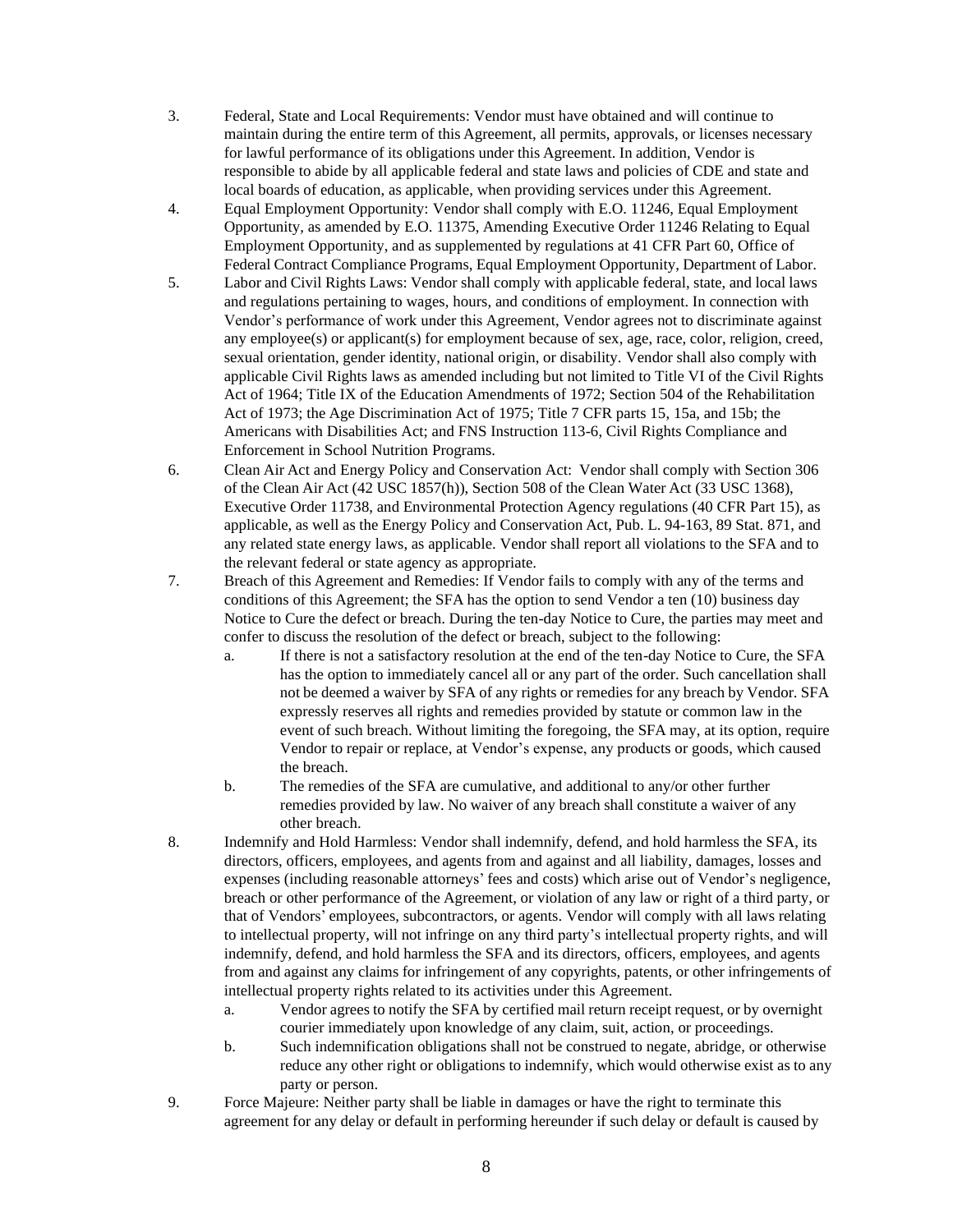- 3. Federal, State and Local Requirements: Vendor must have obtained and will continue to maintain during the entire term of this Agreement, all permits, approvals, or licenses necessary for lawful performance of its obligations under this Agreement. In addition, Vendor is responsible to abide by all applicable federal and state laws and policies of CDE and state and local boards of education, as applicable, when providing services under this Agreement.
- 4. Equal Employment Opportunity: Vendor shall comply with E.O. 11246, Equal Employment Opportunity, as amended by E.O. 11375, Amending Executive Order 11246 Relating to Equal Employment Opportunity, and as supplemented by regulations at 41 CFR Part 60, Office of Federal Contract Compliance Programs, Equal Employment Opportunity, Department of Labor.
- 5. Labor and Civil Rights Laws: Vendor shall comply with applicable federal, state, and local laws and regulations pertaining to wages, hours, and conditions of employment. In connection with Vendor's performance of work under this Agreement, Vendor agrees not to discriminate against any employee(s) or applicant(s) for employment because of sex, age, race, color, religion, creed, sexual orientation, gender identity, national origin, or disability. Vendor shall also comply with applicable Civil Rights laws as amended including but not limited to Title VI of the Civil Rights Act of 1964; Title IX of the Education Amendments of 1972; Section 504 of the Rehabilitation Act of 1973; the Age Discrimination Act of 1975; Title 7 CFR parts 15, 15a, and 15b; the Americans with Disabilities Act; and FNS Instruction 113-6, Civil Rights Compliance and Enforcement in School Nutrition Programs.
- 6. Clean Air Act and Energy Policy and Conservation Act: Vendor shall comply with Section 306 of the Clean Air Act (42 USC 1857(h)), Section 508 of the Clean Water Act (33 USC 1368), Executive Order 11738, and Environmental Protection Agency regulations (40 CFR Part 15), as applicable, as well as the Energy Policy and Conservation Act, Pub. L. 94-163, 89 Stat. 871, and any related state energy laws, as applicable. Vendor shall report all violations to the SFA and to the relevant federal or state agency as appropriate.
- 7. Breach of this Agreement and Remedies: If Vendor fails to comply with any of the terms and conditions of this Agreement; the SFA has the option to send Vendor a ten (10) business day Notice to Cure the defect or breach. During the ten-day Notice to Cure, the parties may meet and confer to discuss the resolution of the defect or breach, subject to the following:
	- a. If there is not a satisfactory resolution at the end of the ten-day Notice to Cure, the SFA has the option to immediately cancel all or any part of the order. Such cancellation shall not be deemed a waiver by SFA of any rights or remedies for any breach by Vendor. SFA expressly reserves all rights and remedies provided by statute or common law in the event of such breach. Without limiting the foregoing, the SFA may, at its option, require Vendor to repair or replace, at Vendor's expense, any products or goods, which caused the breach.
	- b. The remedies of the SFA are cumulative, and additional to any/or other further remedies provided by law. No waiver of any breach shall constitute a waiver of any other breach.
- 8. Indemnify and Hold Harmless: Vendor shall indemnify, defend, and hold harmless the SFA, its directors, officers, employees, and agents from and against and all liability, damages, losses and expenses (including reasonable attorneys' fees and costs) which arise out of Vendor's negligence, breach or other performance of the Agreement, or violation of any law or right of a third party, or that of Vendors' employees, subcontractors, or agents. Vendor will comply with all laws relating to intellectual property, will not infringe on any third party's intellectual property rights, and will indemnify, defend, and hold harmless the SFA and its directors, officers, employees, and agents from and against any claims for infringement of any copyrights, patents, or other infringements of intellectual property rights related to its activities under this Agreement.
	- a. Vendor agrees to notify the SFA by certified mail return receipt request, or by overnight courier immediately upon knowledge of any claim, suit, action, or proceedings.
	- b. Such indemnification obligations shall not be construed to negate, abridge, or otherwise reduce any other right or obligations to indemnify, which would otherwise exist as to any party or person.
- 9. Force Majeure: Neither party shall be liable in damages or have the right to terminate this agreement for any delay or default in performing hereunder if such delay or default is caused by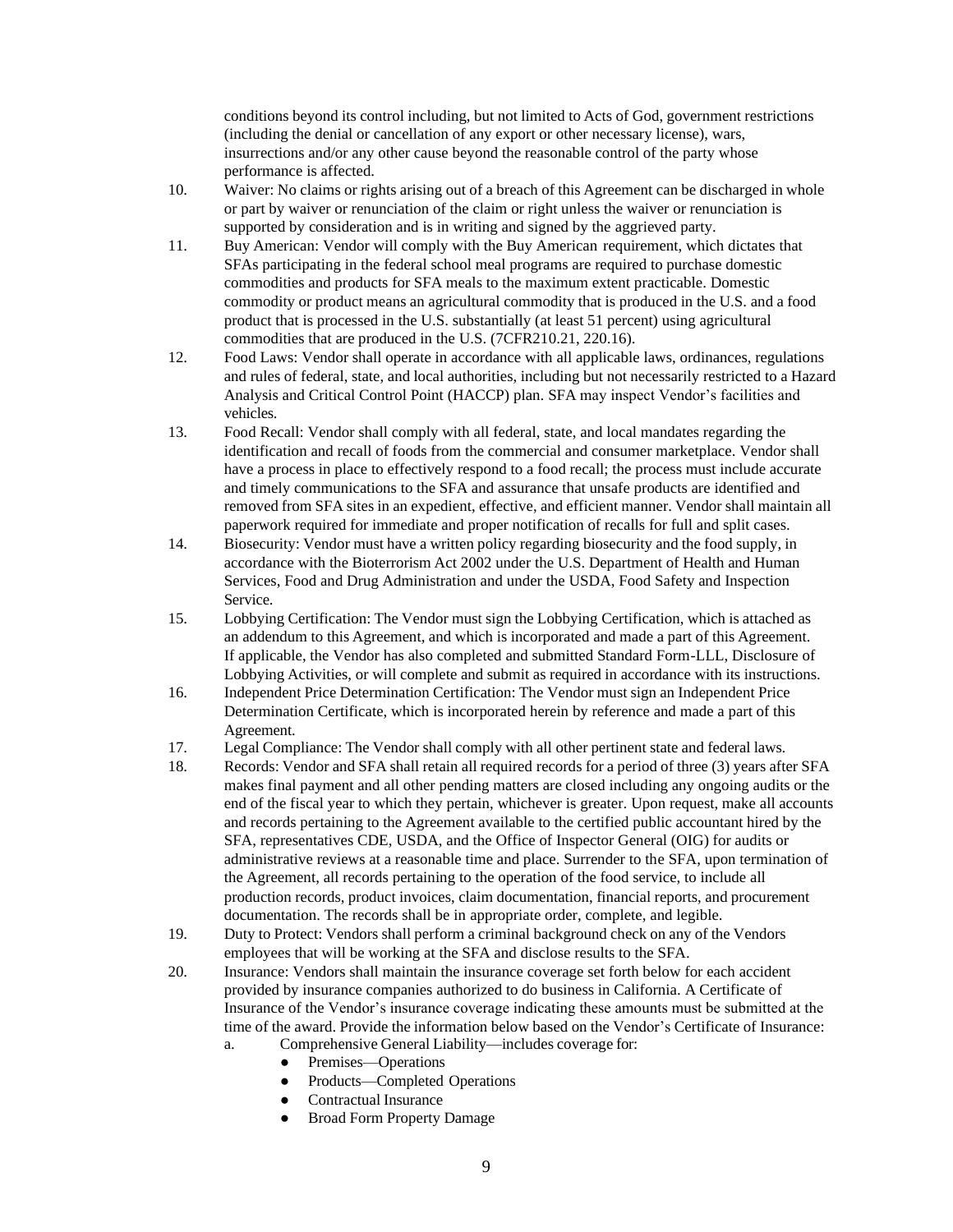conditions beyond its control including, but not limited to Acts of God, government restrictions (including the denial or cancellation of any export or other necessary license), wars, insurrections and/or any other cause beyond the reasonable control of the party whose performance is affected.

- 10. Waiver: No claims or rights arising out of a breach of this Agreement can be discharged in whole or part by waiver or renunciation of the claim or right unless the waiver or renunciation is supported by consideration and is in writing and signed by the aggrieved party.
- 11. Buy American: Vendor will comply with the Buy American requirement, which dictates that SFAs participating in the federal school meal programs are required to purchase domestic commodities and products for SFA meals to the maximum extent practicable. Domestic commodity or product means an agricultural commodity that is produced in the U.S. and a food product that is processed in the U.S. substantially (at least 51 percent) using agricultural commodities that are produced in the U.S. (7CFR210.21, 220.16).
- 12. Food Laws: Vendor shall operate in accordance with all applicable laws, ordinances, regulations and rules of federal, state, and local authorities, including but not necessarily restricted to a Hazard Analysis and Critical Control Point (HACCP) plan. SFA may inspect Vendor's facilities and vehicles.
- 13. Food Recall: Vendor shall comply with all federal, state, and local mandates regarding the identification and recall of foods from the commercial and consumer marketplace. Vendor shall have a process in place to effectively respond to a food recall; the process must include accurate and timely communications to the SFA and assurance that unsafe products are identified and removed from SFA sites in an expedient, effective, and efficient manner. Vendor shall maintain all paperwork required for immediate and proper notification of recalls for full and split cases.
- 14. Biosecurity: Vendor must have a written policy regarding biosecurity and the food supply, in accordance with the Bioterrorism Act 2002 under the U.S. Department of Health and Human Services, Food and Drug Administration and under the USDA, Food Safety and Inspection Service.
- 15. Lobbying Certification: The Vendor must sign the Lobbying Certification, which is attached as an addendum to this Agreement, and which is incorporated and made a part of this Agreement. If applicable, the Vendor has also completed and submitted Standard Form-LLL, Disclosure of Lobbying Activities, or will complete and submit as required in accordance with its instructions.
- 16. Independent Price Determination Certification: The Vendor must sign an Independent Price Determination Certificate, which is incorporated herein by reference and made a part of this Agreement.
- 17. Legal Compliance: The Vendor shall comply with all other pertinent state and federal laws.
- 18. Records: Vendor and SFA shall retain all required records for a period of three (3) years after SFA makes final payment and all other pending matters are closed including any ongoing audits or the end of the fiscal year to which they pertain, whichever is greater. Upon request, make all accounts and records pertaining to the Agreement available to the certified public accountant hired by the SFA, representatives CDE, USDA, and the Office of Inspector General (OIG) for audits or administrative reviews at a reasonable time and place. Surrender to the SFA, upon termination of the Agreement, all records pertaining to the operation of the food service, to include all production records, product invoices, claim documentation, financial reports, and procurement documentation. The records shall be in appropriate order, complete, and legible.
- 19. Duty to Protect: Vendors shall perform a criminal background check on any of the Vendors employees that will be working at the SFA and disclose results to the SFA.
- 20. Insurance: Vendors shall maintain the insurance coverage set forth below for each accident provided by insurance companies authorized to do business in California. A Certificate of Insurance of the Vendor's insurance coverage indicating these amounts must be submitted at the time of the award. Provide the information below based on the Vendor's Certificate of Insurance: a. Comprehensive General Liability—includes coverage for:
	- Premises—Operations
	- Products—Completed Operations
	- Contractual Insurance
	- **Broad Form Property Damage**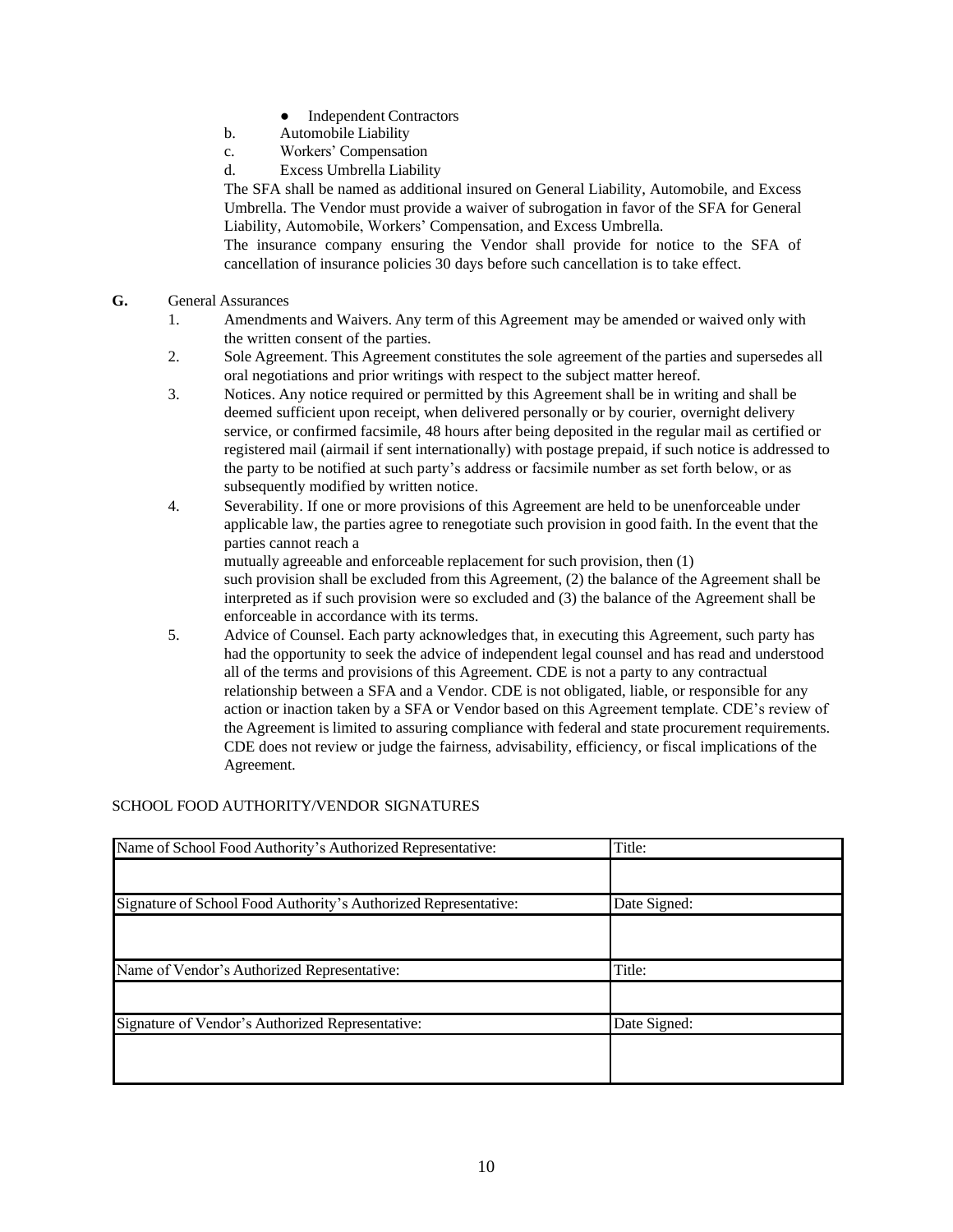- **Independent Contractors**
- b. Automobile Liability
- c. Workers' Compensation
- d. Excess Umbrella Liability

The SFA shall be named as additional insured on General Liability, Automobile, and Excess Umbrella. The Vendor must provide a waiver of subrogation in favor of the SFA for General Liability, Automobile, Workers' Compensation, and Excess Umbrella.

The insurance company ensuring the Vendor shall provide for notice to the SFA of cancellation of insurance policies 30 days before such cancellation is to take effect.

- **G.** General Assurances
	- 1. Amendments and Waivers. Any term of this Agreement may be amended or waived only with the written consent of the parties.
	- 2. Sole Agreement. This Agreement constitutes the sole agreement of the parties and supersedes all oral negotiations and prior writings with respect to the subject matter hereof.
	- 3. Notices. Any notice required or permitted by this Agreement shall be in writing and shall be deemed sufficient upon receipt, when delivered personally or by courier, overnight delivery service, or confirmed facsimile, 48 hours after being deposited in the regular mail as certified or registered mail (airmail if sent internationally) with postage prepaid, if such notice is addressed to the party to be notified at such party's address or facsimile number as set forth below, or as subsequently modified by written notice.
	- 4. Severability. If one or more provisions of this Agreement are held to be unenforceable under applicable law, the parties agree to renegotiate such provision in good faith. In the event that the parties cannot reach a mutually agreeable and enforceable replacement for such provision, then (1) such provision shall be excluded from this Agreement, (2) the balance of the Agreement shall be

interpreted as if such provision were so excluded and (3) the balance of the Agreement shall be enforceable in accordance with its terms.

5. Advice of Counsel. Each party acknowledges that, in executing this Agreement, such party has had the opportunity to seek the advice of independent legal counsel and has read and understood all of the terms and provisions of this Agreement. CDE is not a party to any contractual relationship between a SFA and a Vendor. CDE is not obligated, liable, or responsible for any action or inaction taken by a SFA or Vendor based on this Agreement template. CDE's review of the Agreement is limited to assuring compliance with federal and state procurement requirements. CDE does not review or judge the fairness, advisability, efficiency, or fiscal implications of the Agreement.

### SCHOOL FOOD AUTHORITY/VENDOR SIGNATURES

| Name of School Food Authority's Authorized Representative:      | Title:       |
|-----------------------------------------------------------------|--------------|
|                                                                 |              |
| Signature of School Food Authority's Authorized Representative: | Date Signed: |
|                                                                 |              |
| Name of Vendor's Authorized Representative:                     | Title:       |
|                                                                 |              |
| Signature of Vendor's Authorized Representative:                | Date Signed: |
|                                                                 |              |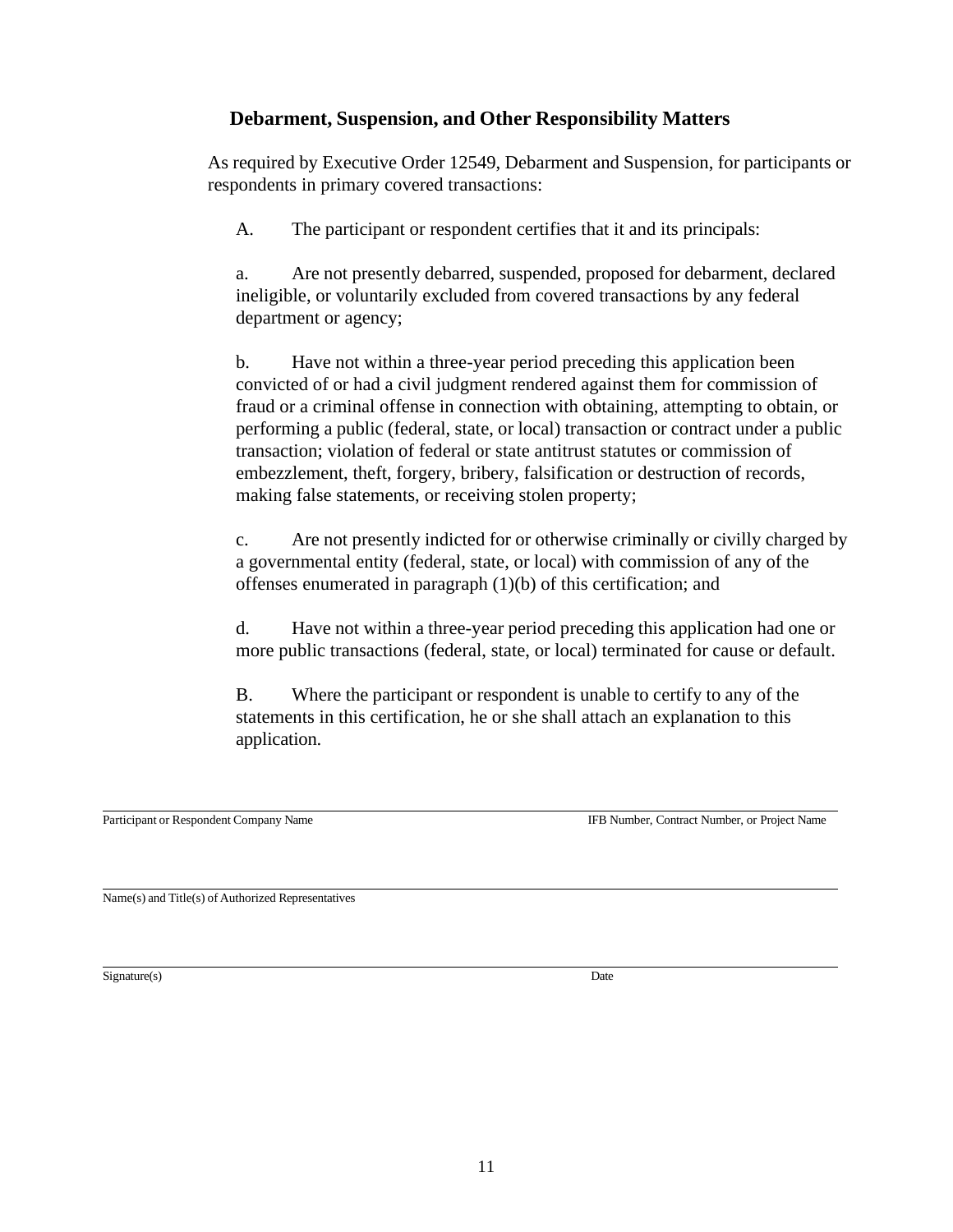## **Debarment, Suspension, and Other Responsibility Matters**

As required by Executive Order 12549, Debarment and Suspension, for participants or respondents in primary covered transactions:

A. The participant or respondent certifies that it and its principals:

a. Are not presently debarred, suspended, proposed for debarment, declared ineligible, or voluntarily excluded from covered transactions by any federal department or agency;

b. Have not within a three-year period preceding this application been convicted of or had a civil judgment rendered against them for commission of fraud or a criminal offense in connection with obtaining, attempting to obtain, or performing a public (federal, state, or local) transaction or contract under a public transaction; violation of federal or state antitrust statutes or commission of embezzlement, theft, forgery, bribery, falsification or destruction of records, making false statements, or receiving stolen property;

c. Are not presently indicted for or otherwise criminally or civilly charged by a governmental entity (federal, state, or local) with commission of any of the offenses enumerated in paragraph (1)(b) of this certification; and

d. Have not within a three-year period preceding this application had one or more public transactions (federal, state, or local) terminated for cause or default.

B. Where the participant or respondent is unable to certify to any of the statements in this certification, he or she shall attach an explanation to this application.

Participant or Respondent Company Name IFB Number, Contract Number, or Project Name

Name(s) and Title(s) of Authorized Representatives

 $Signature(s)$  Date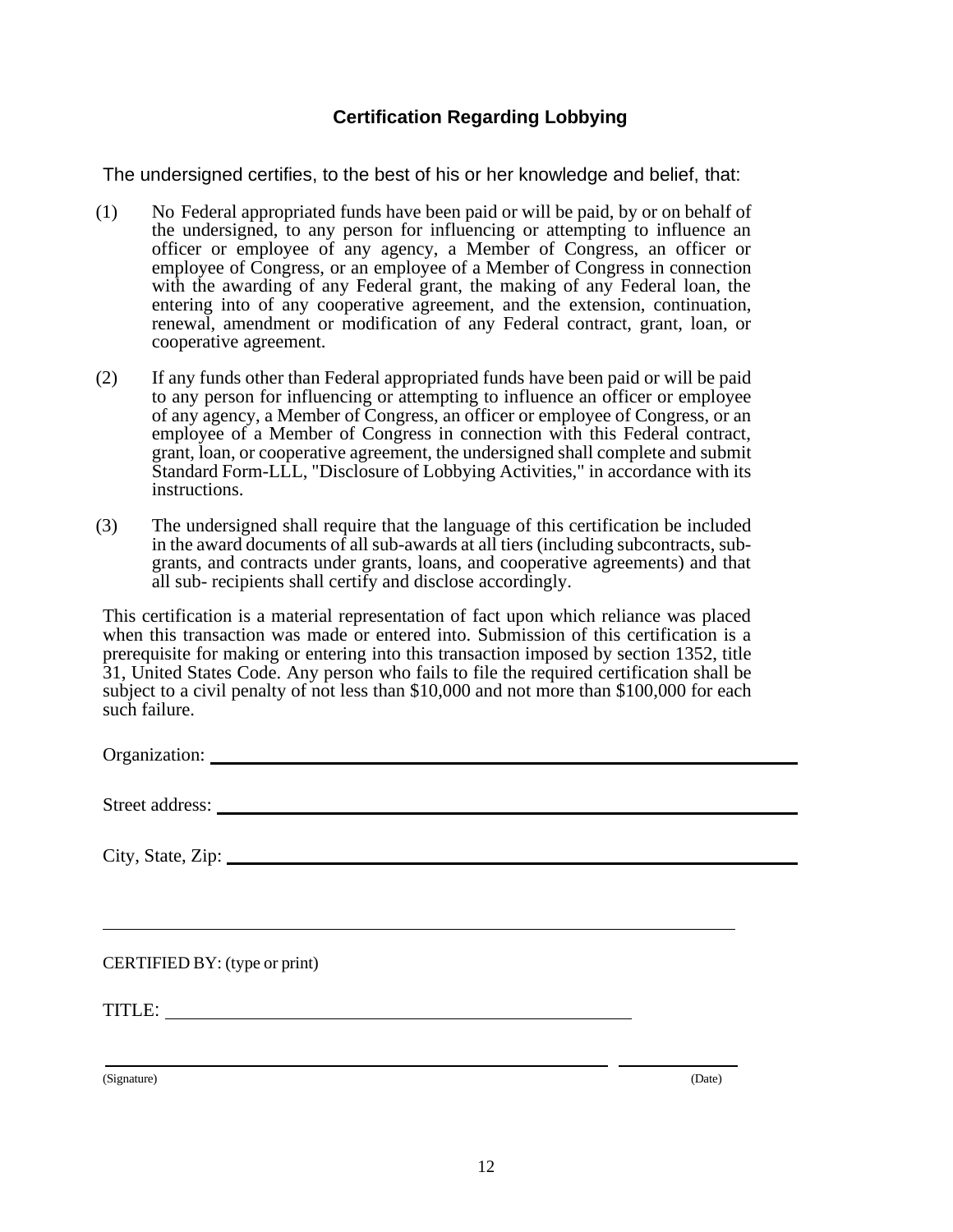## **Certification Regarding Lobbying**

The undersigned certifies, to the best of his or her knowledge and belief, that:

- (1) No Federal appropriated funds have been paid or will be paid, by or on behalf of the undersigned, to any person for influencing or attempting to influence an officer or employee of any agency, a Member of Congress, an officer or employee of Congress, or an employee of a Member of Congress in connection with the awarding of any Federal grant, the making of any Federal loan, the entering into of any cooperative agreement, and the extension, continuation, renewal, amendment or modification of any Federal contract, grant, loan, or cooperative agreement.
- (2) If any funds other than Federal appropriated funds have been paid or will be paid to any person for influencing or attempting to influence an officer or employee of any agency, a Member of Congress, an officer or employee of Congress, or an employee of a Member of Congress in connection with this Federal contract, grant, loan, or cooperative agreement, the undersigned shall complete and submit Standard Form-LLL, "Disclosure of Lobbying Activities," in accordance with its instructions.
- (3) The undersigned shall require that the language of this certification be included in the award documents of all sub-awards at all tiers (including subcontracts, subgrants, and contracts under grants, loans, and cooperative agreements) and that all sub- recipients shall certify and disclose accordingly.

This certification is a material representation of fact upon which reliance was placed when this transaction was made or entered into. Submission of this certification is a prerequisite for making or entering into this transaction imposed by section 1352, title 31, United States Code. Any person who fails to file the required certification shall be subject to a civil penalty of not less than \$10,000 and not more than \$100,000 for each such failure.

Organization: Street address: City, State, Zip: CERTIFIED BY: (type or print) TITLE: TITLE:

(Signature) (Date)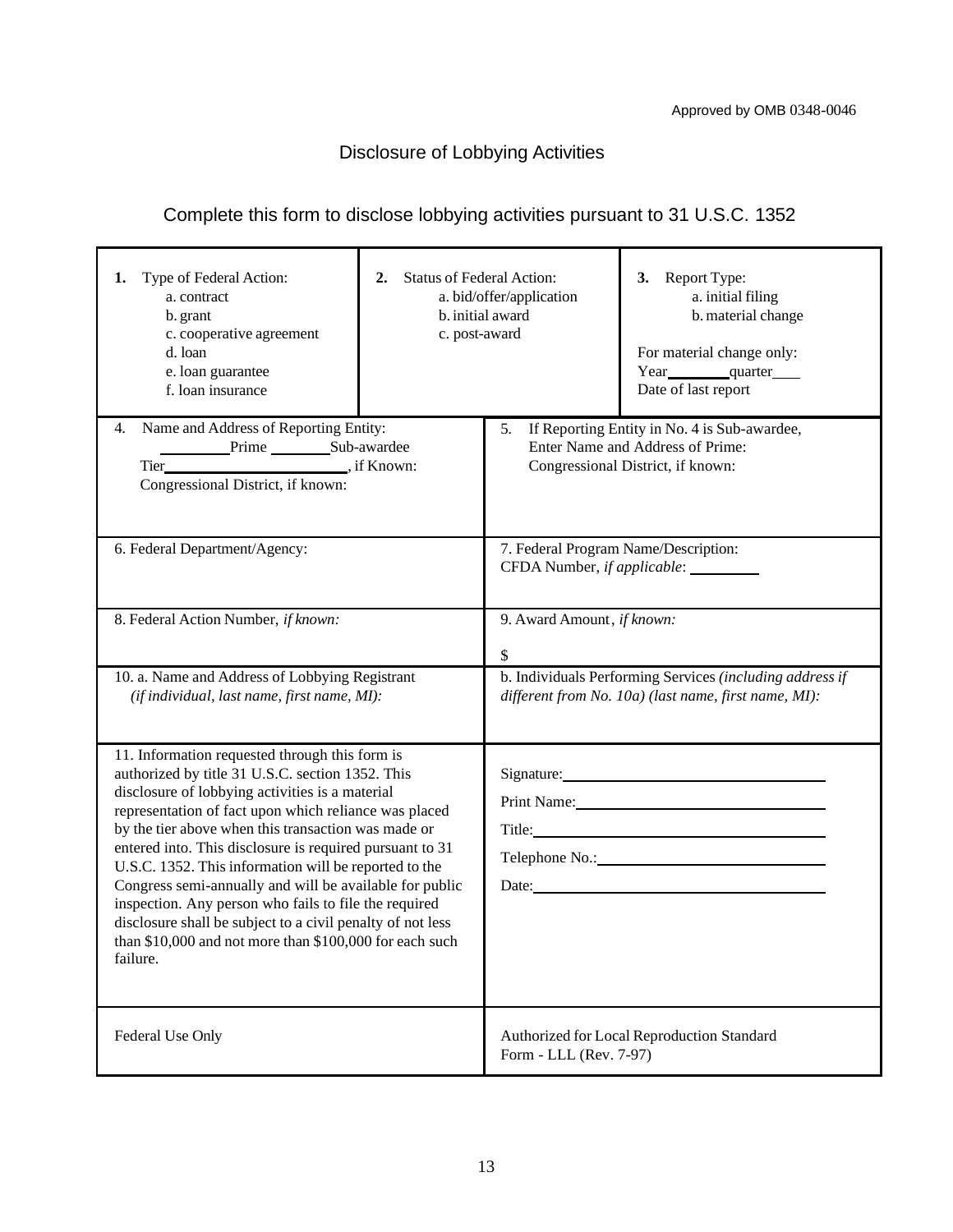# Disclosure of Lobbying Activities

# Complete this form to disclose lobbying activities pursuant to 31 U.S.C. 1352

| Type of Federal Action:<br>1.<br>a. contract<br>b. grant<br>c. cooperative agreement<br>d. loan<br>e. loan guarantee<br>f. loan insurance                                                                                                                                                                                                                                                                                                                                                                                                                                                                                                           | <b>Status of Federal Action:</b><br>2.<br>c. post-award | a. bid/offer/application<br>b. initial award                                                                             | 3. Report Type:<br>a. initial filing<br>b. material change<br>For material change only:<br>Year quarter<br>Date of last report |
|-----------------------------------------------------------------------------------------------------------------------------------------------------------------------------------------------------------------------------------------------------------------------------------------------------------------------------------------------------------------------------------------------------------------------------------------------------------------------------------------------------------------------------------------------------------------------------------------------------------------------------------------------------|---------------------------------------------------------|--------------------------------------------------------------------------------------------------------------------------|--------------------------------------------------------------------------------------------------------------------------------|
| Name and Address of Reporting Entity:<br>4.                                                                                                                                                                                                                                                                                                                                                                                                                                                                                                                                                                                                         |                                                         | 5. If Reporting Entity in No. 4 is Sub-awardee,<br>Enter Name and Address of Prime:<br>Congressional District, if known: |                                                                                                                                |
| 6. Federal Department/Agency:                                                                                                                                                                                                                                                                                                                                                                                                                                                                                                                                                                                                                       |                                                         | 7. Federal Program Name/Description:<br>CFDA Number, if applicable: _________                                            |                                                                                                                                |
| 8. Federal Action Number, if known:                                                                                                                                                                                                                                                                                                                                                                                                                                                                                                                                                                                                                 |                                                         | 9. Award Amount, if known:<br>\$                                                                                         |                                                                                                                                |
| 10. a. Name and Address of Lobbying Registrant<br>(if individual, last name, first name, MI):                                                                                                                                                                                                                                                                                                                                                                                                                                                                                                                                                       |                                                         | b. Individuals Performing Services (including address if<br>different from No. 10a) (last name, first name, MI):         |                                                                                                                                |
| 11. Information requested through this form is<br>authorized by title 31 U.S.C. section 1352. This<br>disclosure of lobbying activities is a material<br>representation of fact upon which reliance was placed<br>by the tier above when this transaction was made or<br>entered into. This disclosure is required pursuant to 31<br>U.S.C. 1352. This information will be reported to the<br>Congress semi-annually and will be available for public<br>inspection. Any person who fails to file the required<br>disclosure shall be subject to a civil penalty of not less<br>than \$10,000 and not more than \$100,000 for each such<br>failure. |                                                         | Signature: Signature:<br>Print Name: New York 1988<br>Date: <u>Date:</u>                                                 |                                                                                                                                |
| Federal Use Only                                                                                                                                                                                                                                                                                                                                                                                                                                                                                                                                                                                                                                    |                                                         | Authorized for Local Reproduction Standard<br>Form - LLL (Rev. 7-97)                                                     |                                                                                                                                |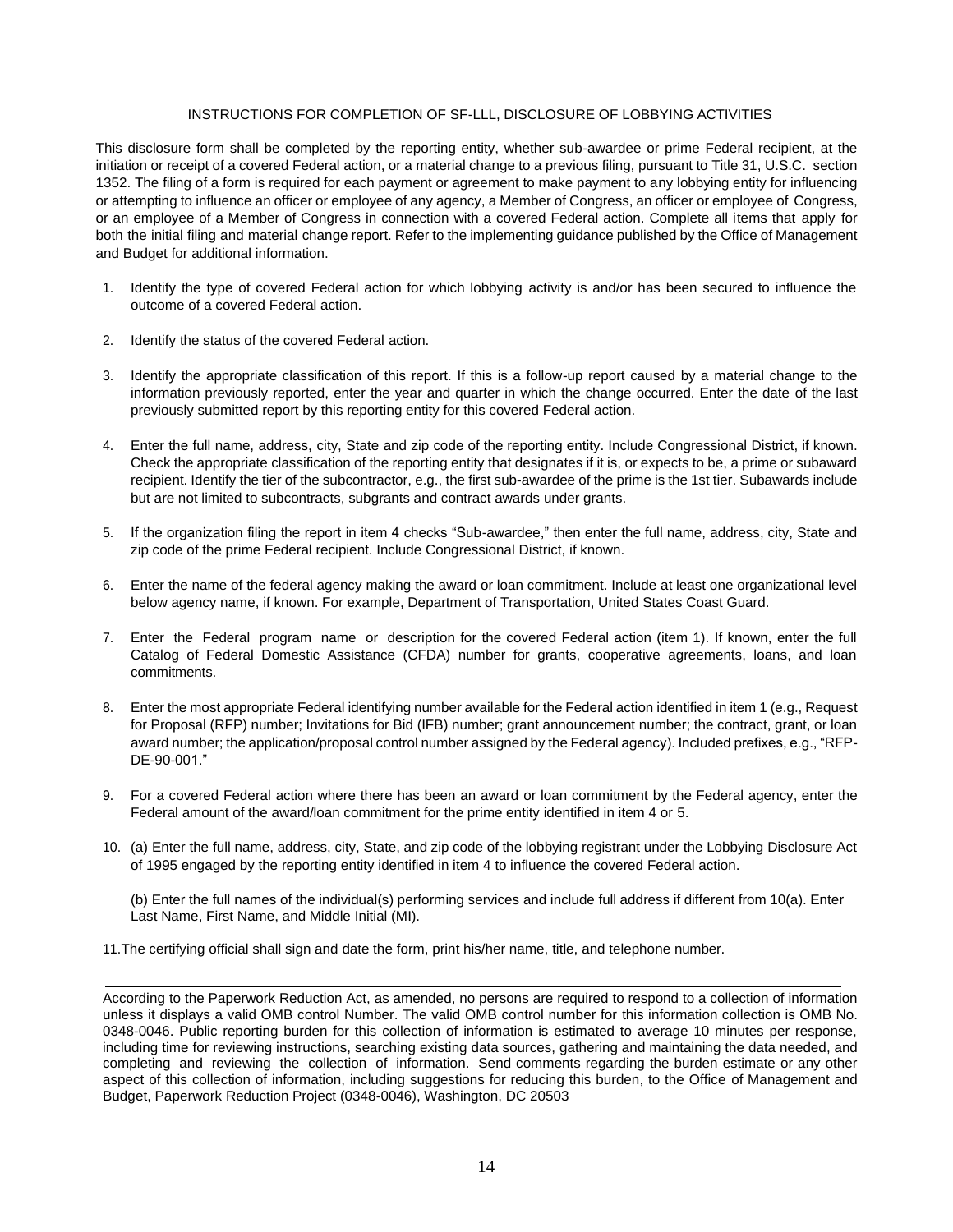#### INSTRUCTIONS FOR COMPLETION OF SF-LLL, DISCLOSURE OF LOBBYING ACTIVITIES

This disclosure form shall be completed by the reporting entity, whether sub-awardee or prime Federal recipient, at the initiation or receipt of a covered Federal action, or a material change to a previous filing, pursuant to Title 31, U.S.C. section 1352. The filing of a form is required for each payment or agreement to make payment to any lobbying entity for influencing or attempting to influence an officer or employee of any agency, a Member of Congress, an officer or employee of Congress, or an employee of a Member of Congress in connection with a covered Federal action. Complete all items that apply for both the initial filing and material change report. Refer to the implementing guidance published by the Office of Management and Budget for additional information.

- 1. Identify the type of covered Federal action for which lobbying activity is and/or has been secured to influence the outcome of a covered Federal action.
- 2. Identify the status of the covered Federal action.
- 3. Identify the appropriate classification of this report. If this is a follow-up report caused by a material change to the information previously reported, enter the year and quarter in which the change occurred. Enter the date of the last previously submitted report by this reporting entity for this covered Federal action.
- 4. Enter the full name, address, city, State and zip code of the reporting entity. Include Congressional District, if known. Check the appropriate classification of the reporting entity that designates if it is, or expects to be, a prime or subaward recipient. Identify the tier of the subcontractor, e.g., the first sub-awardee of the prime is the 1st tier. Subawards include but are not limited to subcontracts, subgrants and contract awards under grants.
- 5. If the organization filing the report in item 4 checks "Sub-awardee," then enter the full name, address, city, State and zip code of the prime Federal recipient. Include Congressional District, if known.
- 6. Enter the name of the federal agency making the award or loan commitment. Include at least one organizational level below agency name, if known. For example, Department of Transportation, United States Coast Guard.
- 7. Enter the Federal program name or description for the covered Federal action (item 1). If known, enter the full Catalog of Federal Domestic Assistance (CFDA) number for grants, cooperative agreements, loans, and loan commitments.
- 8. Enter the most appropriate Federal identifying number available for the Federal action identified in item 1 (e.g., Request for Proposal (RFP) number; Invitations for Bid (IFB) number; grant announcement number; the contract, grant, or loan award number; the application/proposal control number assigned by the Federal agency). Included prefixes, e.g., "RFP-DE-90-001."
- 9. For a covered Federal action where there has been an award or loan commitment by the Federal agency, enter the Federal amount of the award/loan commitment for the prime entity identified in item 4 or 5.
- 10. (a) Enter the full name, address, city, State, and zip code of the lobbying registrant under the Lobbying Disclosure Act of 1995 engaged by the reporting entity identified in item 4 to influence the covered Federal action.

(b) Enter the full names of the individual(s) performing services and include full address if different from 10(a). Enter Last Name, First Name, and Middle Initial (MI).

11.The certifying official shall sign and date the form, print his/her name, title, and telephone number.

According to the Paperwork Reduction Act, as amended, no persons are required to respond to a collection of information unless it displays a valid OMB control Number. The valid OMB control number for this information collection is OMB No. 0348-0046. Public reporting burden for this collection of information is estimated to average 10 minutes per response, including time for reviewing instructions, searching existing data sources, gathering and maintaining the data needed, and completing and reviewing the collection of information. Send comments regarding the burden estimate or any other aspect of this collection of information, including suggestions for reducing this burden, to the Office of Management and Budget, Paperwork Reduction Project (0348-0046), Washington, DC 20503